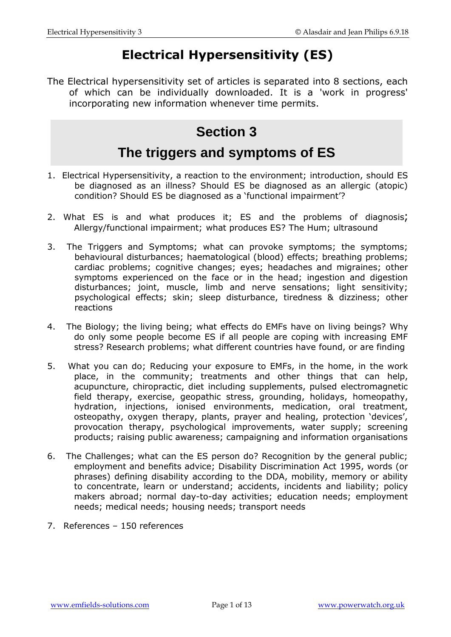# **Electrical Hypersensitivity (ES)**

The Electrical hypersensitivity set of articles is separated into 8 sections, each of which can be individually downloaded. It is a 'work in progress' incorporating new information whenever time permits.

# **Section 3**

# **The triggers and symptoms of ES**

- 1. Electrical Hypersensitivity, a reaction to the environment; introduction, should ES be diagnosed as an illness? Should ES be diagnosed as an allergic (atopic) condition? Should ES be diagnosed as a 'functional impairment'?
- 2. What ES is and what produces it; ES and the problems of diagnosis; Allergy/functional impairment; what produces ES? The Hum; ultrasound
- 3. The Triggers and Symptoms; what can provoke symptoms; the symptoms; behavioural disturbances; haematological (blood) effects; breathing problems; cardiac problems; cognitive changes; eyes; headaches and migraines; other symptoms experienced on the face or in the head; ingestion and digestion disturbances; joint, muscle, limb and nerve sensations; light sensitivity; psychological effects; skin; sleep disturbance, tiredness & dizziness; other reactions
- 4. The Biology; the living being; what effects do EMFs have on living beings? Why do only some people become ES if all people are coping with increasing EMF stress? Research problems; what different countries have found, or are finding
- 5. What you can do; Reducing your exposure to EMFs, in the home, in the work place, in the community; treatments and other things that can help, acupuncture, chiropractic, diet including supplements, pulsed electromagnetic field therapy, exercise, geopathic stress, grounding, holidays, homeopathy, hydration, injections, ionised environments, medication, oral treatment, osteopathy, oxygen therapy, plants, prayer and healing, protection 'devices', provocation therapy, psychological improvements, water supply; screening products; raising public awareness; campaigning and information organisations
- 6. The Challenges; what can the ES person do? Recognition by the general public; employment and benefits advice; Disability Discrimination Act 1995, words (or phrases) defining disability according to the DDA, mobility, memory or ability to concentrate, learn or understand; accidents, incidents and liability; policy makers abroad; normal day-to-day activities; education needs; employment needs; medical needs; housing needs; transport needs
- 7. References 150 references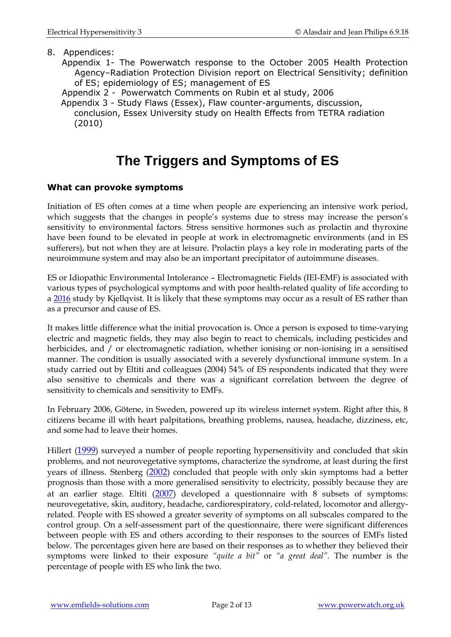#### 8. Appendices:

- Appendix 1- The Powerwatch response to the October 2005 Health Protection Agency–Radiation Protection Division report on Electrical Sensitivity; definition of ES; epidemiology of ES; management of ES
- Appendix 2 Powerwatch Comments on Rubin et al study, 2006
- Appendix 3 Study Flaws (Essex), Flaw counter-arguments, discussion, conclusion, Essex University study on Health Effects from TETRA radiation (2010)

# **The Triggers and Symptoms of ES**

#### **What can provoke symptoms**

Initiation of ES often comes at a time when people are experiencing an intensive work period, which suggests that the changes in people's systems due to stress may increase the person's sensitivity to environmental factors. Stress sensitive hormones such as prolactin and thyroxine have been found to be elevated in people at work in electromagnetic environments (and in ES sufferers), but not when they are at leisure. Prolactin plays a key role in moderating parts of the neuroimmune system and may also be an important precipitator of autoimmune diseases.

ES or Idiopathic Environmental Intolerance – Electromagnetic Fields (IEI-EMF) is associated with various types of psychological symptoms and with poor health-related quality of life according to a [2016](https://www.ncbi.nlm.nih.gov/pubmed/27095153) study by Kjellqvist. It is likely that these symptoms may occur as a result of ES rather than as a precursor and cause of ES.

It makes little difference what the initial provocation is. Once a person is exposed to time-varying electric and magnetic fields, they may also begin to react to chemicals, including pesticides and herbicides, and / or electromagnetic radiation, whether ionising or non-ionising in a sensitised manner. The condition is usually associated with a severely dysfunctional immune system. In a study carried out by Eltiti and colleagues (2004) 54% of ES respondents indicated that they were also sensitive to chemicals and there was a significant correlation between the degree of sensitivity to chemicals and sensitivity to EMFs.

In February 2006, Götene, in Sweden, powered up its wireless internet system. Right after this, 8 citizens became ill with heart palpitations, breathing problems, nausea, headache, dizziness, etc, and some had to leave their homes.

Hillert ([1999](http://www.ncbi.nlm.nih.gov/sites/entrez?Db=pubmed&Cmd=ShowDetailView&TermToSearch=10624841&ordinalpos=11&itool=EntrezSystem2.PEntrez.Pubmed.Pubmed_ResultsPanel.Pubmed_RVDocSum)) surveyed a number of people reporting hypersensitivity and concluded that skin problems, and not neurovegetative symptoms, characterize the syndrome, at least during the first years of illness. Stenberg ([2002](http://www.ncbi.nlm.nih.gov/sites/entrez?Db=pubmed&Cmd=ShowDetailView&TermToSearch=12432989&ordinalpos=7&itool=EntrezSystem2.PEntrez.Pubmed.Pubmed_ResultsPanel.Pubmed_RVDocSum)) concluded that people with only skin symptoms had a better prognosis than those with a more generalised sensitivity to electricity, possibly because they are at an earlier stage. Eltiti ([2007](http://www.ncbi.nlm.nih.gov/entrez/query.fcgi?db=pubmed&cmd=Retrieve&dopt=AbstractPlus&list_uids=17013888&query_hl=4&itool=pubmed_docsum)) developed a questionnaire with 8 subsets of symptoms: neurovegetative, skin, auditory, headache, cardiorespiratory, cold-related, locomotor and allergyrelated. People with ES showed a greater severity of symptoms on all subscales compared to the control group. On a self-assessment part of the questionnaire, there were significant differences between people with ES and others according to their responses to the sources of EMFs listed below. The percentages given here are based on their responses as to whether they believed their symptoms were linked to their exposure *"quite a bit"* or *"a great deal".* The number is the percentage of people with ES who link the two.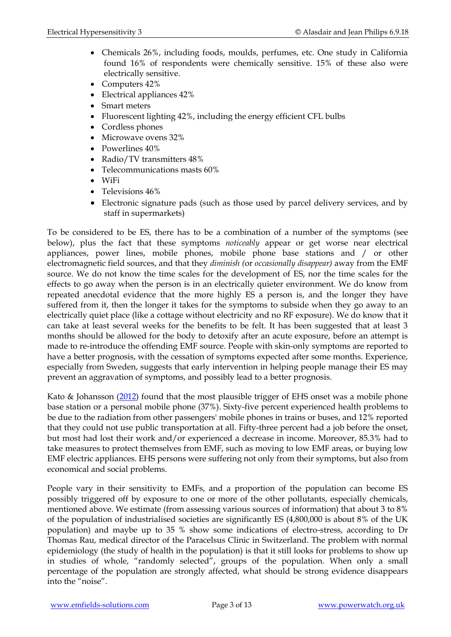- Chemicals 26%, including foods, moulds, perfumes, etc. One study in California found 16% of respondents were chemically sensitive. 15% of these also were electrically sensitive.
- Computers 42%
- Electrical appliances 42%
- Smart meters
- Fluorescent lighting 42%, including the energy efficient CFL bulbs
- Cordless phones
- Microwave ovens 32%
- Powerlines  $40\%$
- Radio/TV transmitters 48%
- Telecommunications masts 60%
- WiFi
- Televisions 46%
- Electronic signature pads (such as those used by parcel delivery services, and by staff in supermarkets)

To be considered to be ES, there has to be a combination of a number of the symptoms (see below), plus the fact that these symptoms *noticeably* appear or get worse near electrical appliances, power lines, mobile phones, mobile phone base stations and / or other electromagnetic field sources, and that they *diminish (*or *occasionally disappear)* away from the EMF source. We do not know the time scales for the development of ES, nor the time scales for the effects to go away when the person is in an electrically quieter environment. We do know from repeated anecdotal evidence that the more highly ES a person is, and the longer they have suffered from it, then the longer it takes for the symptoms to subside when they go away to an electrically quiet place (like a cottage without electricity and no RF exposure). We do know that it can take at least several weeks for the benefits to be felt. It has been suggested that at least 3 months should be allowed for the body to detoxify after an acute exposure, before an attempt is made to re-introduce the offending EMF source. People with skin-only symptoms are reported to have a better prognosis, with the cessation of symptoms expected after some months. Experience, especially from Sweden, suggests that early intervention in helping people manage their ES may prevent an aggravation of symptoms, and possibly lead to a better prognosis.

Kato & Johansson [\(2012\)](http://www.ncbi.nlm.nih.gov/pubmed/22458999) found that the most plausible trigger of EHS onset was a mobile phone base station or a personal mobile phone (37%). Sixty-five percent experienced health problems to be due to the radiation from other passengers' mobile phones in trains or buses, and 12% reported that they could not use public transportation at all. Fifty-three percent had a job before the onset, but most had lost their work and/or experienced a decrease in income. Moreover, 85.3% had to take measures to protect themselves from EMF, such as moving to low EMF areas, or buying low EMF electric appliances. EHS persons were suffering not only from their symptoms, but also from economical and social problems.

People vary in their sensitivity to EMFs, and a proportion of the population can become ES possibly triggered off by exposure to one or more of the other pollutants, especially chemicals, mentioned above. We estimate (from assessing various sources of information) that about 3 to 8% of the population of industrialised societies are significantly ES (4,800,000 is about 8% of the UK population) and maybe up to 35 % show some indications of electro-stress, according to Dr Thomas Rau, medical director of the Paracelsus Clinic in Switzerland. The problem with normal epidemiology (the study of health in the population) is that it still looks for problems to show up in studies of whole, "randomly selected", groups of the population. When only a small percentage of the population are strongly affected, what should be strong evidence disappears into the "noise".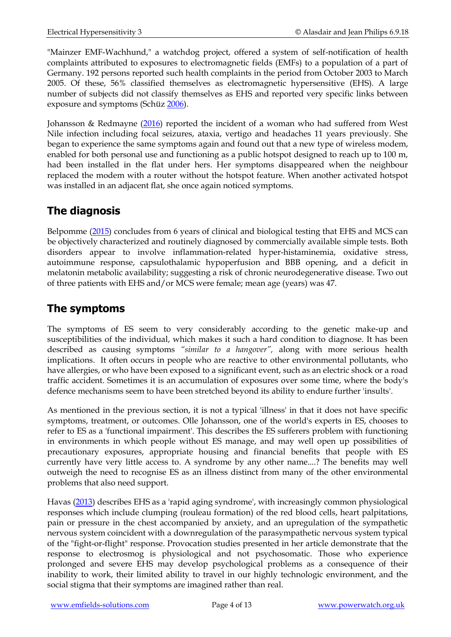"Mainzer EMF-Wachhund," a watchdog project, offered a system of self-notification of health complaints attributed to exposures to electromagnetic fields (EMFs) to a population of a part of Germany. 192 persons reported such health complaints in the period from October 2003 to March 2005. Of these, 56% classified themselves as electromagnetic hypersensitive (EHS). A large number of subjects did not classify themselves as EHS and reported very specific links between exposure and symptoms (Schüz [2006\)](https://www.ncbi.nlm.nih.gov/pubmed/16511876).

Johansson & Redmayne [\(2016\)](https://www.ncbi.nlm.nih.gov/pubmed/27355805) reported the incident of a woman who had suffered from West Nile infection including focal seizures, ataxia, vertigo and headaches 11 years previously. She began to experience the same symptoms again and found out that a new type of wireless modem, enabled for both personal use and functioning as a public hotspot designed to reach up to 100 m, had been installed in the flat under hers. Her symptoms disappeared when the neighbour replaced the modem with a router without the hotspot feature. When another activated hotspot was installed in an adjacent flat, she once again noticed symptoms.

## **The diagnosis**

Belpomme [\(2015\)](http://www.ncbi.nlm.nih.gov/pubmed/26613326) concludes from 6 years of clinical and biological testing that EHS and MCS can be objectively characterized and routinely diagnosed by commercially available simple tests. Both disorders appear to involve inflammation-related hyper-histaminemia, oxidative stress, autoimmune response, capsulothalamic hypoperfusion and BBB opening, and a deficit in melatonin metabolic availability; suggesting a risk of chronic neurodegenerative disease. Two out of three patients with EHS and/or MCS were female; mean age (years) was 47.

## **The symptoms**

The symptoms of ES seem to very considerably according to the genetic make-up and susceptibilities of the individual, which makes it such a hard condition to diagnose. It has been described as causing symptoms *"similar to a hangover",* along with more serious health implications. It often occurs in people who are reactive to other environmental pollutants, who have allergies, or who have been exposed to a significant event, such as an electric shock or a road traffic accident. Sometimes it is an accumulation of exposures over some time, where the body's defence mechanisms seem to have been stretched beyond its ability to endure further 'insults'.

As mentioned in the previous section, it is not a typical 'illness' in that it does not have specific symptoms, treatment, or outcomes. Olle Johansson, one of the world's experts in ES, chooses to refer to ES as a 'functional impairment'. This describes the ES sufferers problem with functioning in environments in which people without ES manage, and may well open up possibilities of precautionary exposures, appropriate housing and financial benefits that people with ES currently have very little access to. A syndrome by any other name....? The benefits may well outweigh the need to recognise ES as an illness distinct from many of the other environmental problems that also need support.

Havas [\(2013\)](http://www.ncbi.nlm.nih.gov/pubmed/24192494) describes EHS as a 'rapid aging syndrome', with increasingly common physiological responses which include clumping (rouleau formation) of the red blood cells, heart palpitations, pain or pressure in the chest accompanied by anxiety, and an upregulation of the sympathetic nervous system coincident with a downregulation of the parasympathetic nervous system typical of the "fight-or-flight" response. Provocation studies presented in her article demonstrate that the response to electrosmog is physiological and not psychosomatic. Those who experience prolonged and severe EHS may develop psychological problems as a consequence of their inability to work, their limited ability to travel in our highly technologic environment, and the social stigma that their symptoms are imagined rather than real.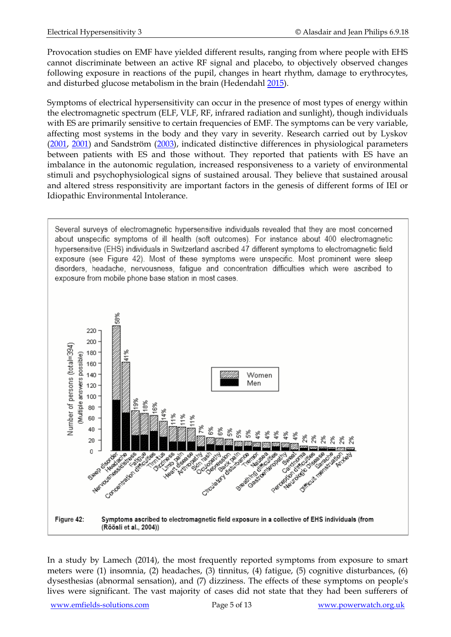Provocation studies on EMF have yielded different results, ranging from where people with EHS cannot discriminate between an active RF signal and placebo, to objectively observed changes following exposure in reactions of the pupil, changes in heart rhythm, damage to erythrocytes, and disturbed glucose metabolism in the brain (Hedendahl [2015\)](http://www.ncbi.nlm.nih.gov/pubmed/26372109).

Symptoms of electrical hypersensitivity can occur in the presence of most types of energy within the electromagnetic spectrum (ELF, VLF, RF, infrared radiation and sunlight), though individuals with ES are primarily sensitive to certain frequencies of EMF. The symptoms can be very variable, affecting most systems in the body and they vary in severity. Research carried out by Lyskov [\(2001,](http://www.ncbi.nlm.nih.gov/pubmed/11568930) [2001\)](http://www.ncbi.nlm.nih.gov/pubmed/11812390) and Sandström [\(2003\)](http://www.ncbi.nlm.nih.gov/pubmed/14507441), indicated distinctive differences in physiological parameters between patients with ES and those without. They reported that patients with ES have an imbalance in the autonomic regulation, increased responsiveness to a variety of environmental stimuli and psychophysiological signs of sustained arousal. They believe that sustained arousal and altered stress responsitivity are important factors in the genesis of different forms of IEI or Idiopathic Environmental Intolerance.

Several surveys of electromagnetic hypersensitive individuals revealed that they are most concerned about unspecific symptoms of ill health (soft outcomes). For instance about 400 electromagnetic hypersensitive (EHS) individuals in Switzerland ascribed 47 different symptoms to electromagnetic field exposure (see Figure 42). Most of these symptoms were unspecific. Most prominent were sleep disorders, headache, nervousness, fatigue and concentration difficulties which were ascribed to exposure from mobile phone base station in most cases.



In a study by Lamech (2014), the most frequently reported symptoms from exposure to smart meters were (1) insomnia, (2) headaches, (3) tinnitus, (4) fatigue, (5) cognitive disturbances, (6) dysesthesias (abnormal sensation), and (7) dizziness. The effects of these symptoms on people's lives were significant. The vast majority of cases did not state that they had been sufferers of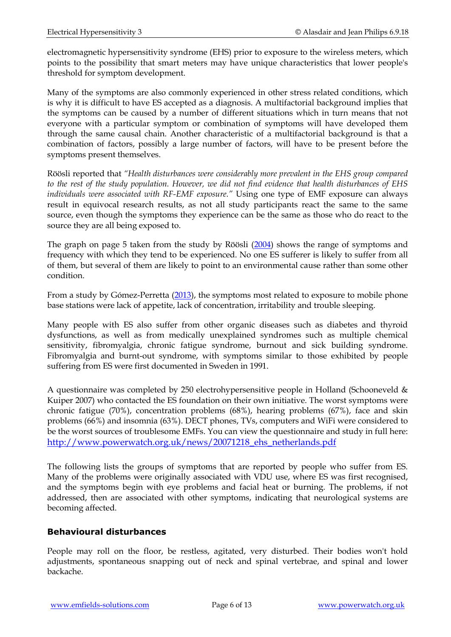electromagnetic hypersensitivity syndrome (EHS) prior to exposure to the wireless meters, which points to the possibility that smart meters may have unique characteristics that lower people's threshold for symptom development.

Many of the symptoms are also commonly experienced in other stress related conditions, which is why it is difficult to have ES accepted as a diagnosis. A multifactorial background implies that the symptoms can be caused by a number of different situations which in turn means that not everyone with a particular symptom or combination of symptoms will have developed them through the same causal chain. Another characteristic of a multifactorial background is that a combination of factors, possibly a large number of factors, will have to be present before the symptoms present themselves.

Röösli reported that *"Health disturbances were considerably more prevalent in the EHS group compared to the rest of the study population. However, we did not find evidence that health disturbances of EHS individuals were associated with RF-EMF exposure."* Using one type of EMF exposure can always result in equivocal research results, as not all study participants react the same to the same source, even though the symptoms they experience can be the same as those who do react to the source they are all being exposed to.

The graph on page 5 taken from the study by Röösli [\(2004\)](http://www.ncbi.nlm.nih.gov/pubmed/15031956) shows the range of symptoms and frequency with which they tend to be experienced. No one ES sufferer is likely to suffer from all of them, but several of them are likely to point to an environmental cause rather than some other condition.

From a study by Gómez-Perretta [\(2013\)](https://www.ncbi.nlm.nih.gov/pubmed/24381254), the symptoms most related to exposure to mobile phone base stations were lack of appetite, lack of concentration, irritability and trouble sleeping.

Many people with ES also suffer from other organic diseases such as diabetes and thyroid dysfunctions, as well as from medically unexplained syndromes such as multiple chemical sensitivity, fibromyalgia, chronic fatigue syndrome, burnout and sick building syndrome. Fibromyalgia and burnt-out syndrome, with symptoms similar to those exhibited by people suffering from ES were first documented in Sweden in 1991.

A questionnaire was completed by 250 electrohypersensitive people in Holland (Schooneveld & Kuiper 2007) who contacted the ES foundation on their own initiative. The worst symptoms were chronic fatigue (70%), concentration problems (68%), hearing problems (67%), face and skin problems (66%) and insomnia (63%). DECT phones, TVs, computers and WiFi were considered to be the worst sources of troublesome EMFs. You can view the questionnaire and study in full here: [http://www.powerwatch.org.uk/news/20071218\\_ehs\\_netherlands.pdf](http://www.powerwatch.org.uk/news/20071218_ehs_netherlands.pdf)

The following lists the groups of symptoms that are reported by people who suffer from ES. Many of the problems were originally associated with VDU use, where ES was first recognised, and the symptoms begin with eye problems and facial heat or burning. The problems, if not addressed, then are associated with other symptoms, indicating that neurological systems are becoming affected.

#### **Behavioural disturbances**

People may roll on the floor, be restless, agitated, very disturbed. Their bodies won't hold adjustments, spontaneous snapping out of neck and spinal vertebrae, and spinal and lower backache.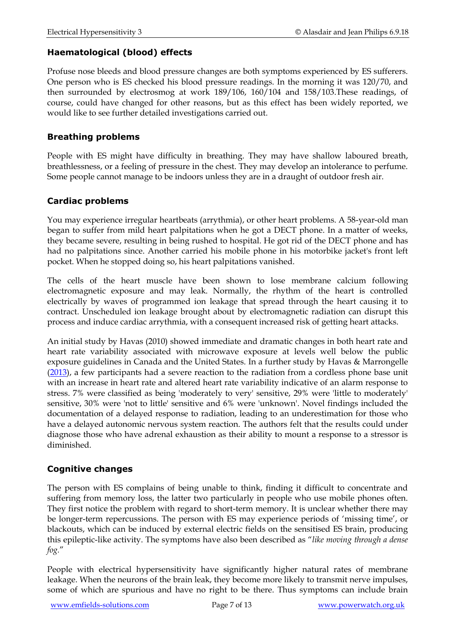#### **Haematological (blood) effects**

Profuse nose bleeds and blood pressure changes are both symptoms experienced by ES sufferers. One person who is ES checked his blood pressure readings. In the morning it was 120/70, and then surrounded by electrosmog at work 189/106, 160/104 and 158/103.These readings, of course, could have changed for other reasons, but as this effect has been widely reported, we would like to see further detailed investigations carried out.

#### **Breathing problems**

People with ES might have difficulty in breathing. They may have shallow laboured breath, breathlessness, or a feeling of pressure in the chest. They may develop an intolerance to perfume. Some people cannot manage to be indoors unless they are in a draught of outdoor fresh air.

#### **Cardiac problems**

You may experience irregular heartbeats (arrythmia), or other heart problems. A 58-year-old man began to suffer from mild heart palpitations when he got a DECT phone. In a matter of weeks, they became severe, resulting in being rushed to hospital. He got rid of the DECT phone and has had no palpitations since. Another carried his mobile phone in his motorbike jacket's front left pocket. When he stopped doing so, his heart palpitations vanished.

The cells of the heart muscle have been shown to lose membrane calcium following electromagnetic exposure and may leak. Normally, the rhythm of the heart is controlled electrically by waves of programmed ion leakage that spread through the heart causing it to contract. Unscheduled ion leakage brought about by electromagnetic radiation can disrupt this process and induce cardiac arrythmia, with a consequent increased risk of getting heart attacks.

An initial study by Havas (2010) showed immediate and dramatic changes in both heart rate and heart rate variability associated with microwave exposure at levels well below the public exposure guidelines in Canada and the United States. In a further study by Havas & Marrongelle  $(2013)$ , a few participants had a severe reaction to the radiation from a cordless phone base unit with an increase in heart rate and altered heart rate variability indicative of an alarm response to stress. 7% were classified as being 'moderately to very' sensitive, 29% were 'little to moderately' sensitive, 30% were 'not to little' sensitive and 6% were 'unknown'. Novel findings included the documentation of a delayed response to radiation, leading to an underestimation for those who have a delayed autonomic nervous system reaction. The authors felt that the results could under diagnose those who have adrenal exhaustion as their ability to mount a response to a stressor is diminished.

#### **Cognitive changes**

The person with ES complains of being unable to think, finding it difficult to concentrate and suffering from memory loss, the latter two particularly in people who use mobile phones often. They first notice the problem with regard to short-term memory. It is unclear whether there may be longer-term repercussions. The person with ES may experience periods of 'missing time', or blackouts, which can be induced by external electric fields on the sensitised ES brain, producing this epileptic-like activity. The symptoms have also been described as "*like moving through a dense fog.*"

People with electrical hypersensitivity have significantly higher natural rates of membrane leakage. When the neurons of the brain leak, they become more likely to transmit nerve impulses, some of which are spurious and have no right to be there. Thus symptoms can include brain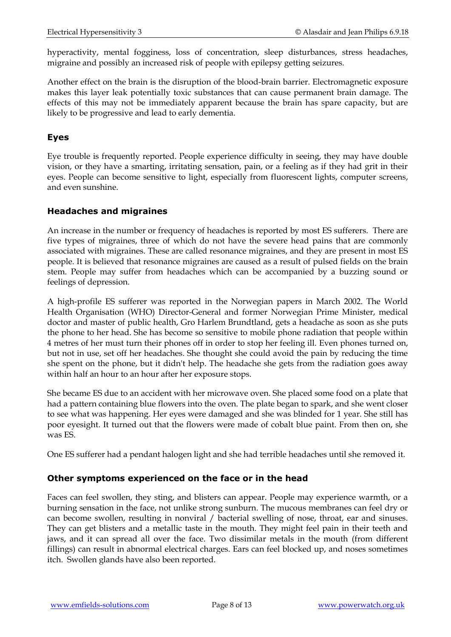hyperactivity, mental fogginess, loss of concentration, sleep disturbances, stress headaches, migraine and possibly an increased risk of people with epilepsy getting seizures.

Another effect on the brain is the disruption of the blood-brain barrier. Electromagnetic exposure makes this layer leak potentially toxic substances that can cause permanent brain damage. The effects of this may not be immediately apparent because the brain has spare capacity, but are likely to be progressive and lead to early dementia.

#### **Eyes**

Eye trouble is frequently reported. People experience difficulty in seeing, they may have double vision, or they have a smarting, irritating sensation, pain, or a feeling as if they had grit in their eyes. People can become sensitive to light, especially from fluorescent lights, computer screens, and even sunshine.

#### **Headaches and migraines**

An increase in the number or frequency of headaches is reported by most ES sufferers. There are five types of migraines, three of which do not have the severe head pains that are commonly associated with migraines. These are called resonance migraines, and they are present in most ES people. It is believed that resonance migraines are caused as a result of pulsed fields on the brain stem. People may suffer from headaches which can be accompanied by a buzzing sound or feelings of depression.

A high-profile ES sufferer was reported in the Norwegian papers in March 2002. The World Health Organisation (WHO) Director-General and former Norwegian Prime Minister, medical doctor and master of public health, Gro Harlem Brundtland, gets a headache as soon as she puts the phone to her head. She has become so sensitive to mobile phone radiation that people within 4 metres of her must turn their phones off in order to stop her feeling ill. Even phones turned on, but not in use, set off her headaches. She thought she could avoid the pain by reducing the time she spent on the phone, but it didn't help. The headache she gets from the radiation goes away within half an hour to an hour after her exposure stops.

She became ES due to an accident with her microwave oven. She placed some food on a plate that had a pattern containing blue flowers into the oven. The plate began to spark, and she went closer to see what was happening. Her eyes were damaged and she was blinded for 1 year. She still has poor eyesight. It turned out that the flowers were made of cobalt blue paint. From then on, she was ES.

One ES sufferer had a pendant halogen light and she had terrible headaches until she removed it.

#### **Other symptoms experienced on the face or in the head**

Faces can feel swollen, they sting, and blisters can appear. People may experience warmth, or a burning sensation in the face, not unlike strong sunburn. The mucous membranes can feel dry or can become swollen, resulting in nonviral / bacterial swelling of nose, throat, ear and sinuses. They can get blisters and a metallic taste in the mouth. They might feel pain in their teeth and jaws, and it can spread all over the face. Two dissimilar metals in the mouth (from different fillings) can result in abnormal electrical charges. Ears can feel blocked up, and noses sometimes itch. Swollen glands have also been reported.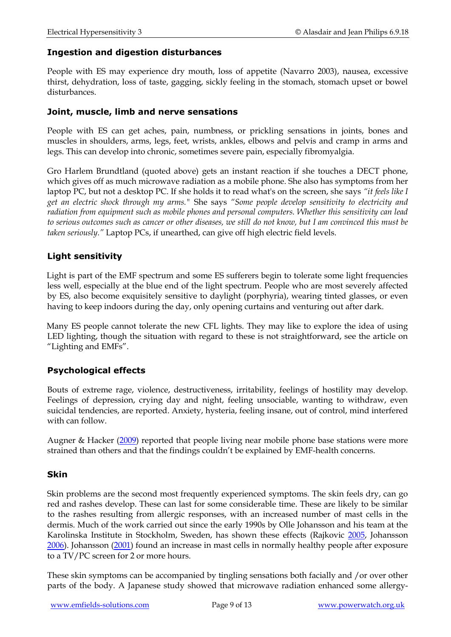#### **Ingestion and digestion disturbances**

People with ES may experience dry mouth, loss of appetite (Navarro 2003), nausea, excessive thirst, dehydration, loss of taste, gagging, sickly feeling in the stomach, stomach upset or bowel disturbances.

#### **Joint, muscle, limb and nerve sensations**

People with ES can get aches, pain, numbness, or prickling sensations in joints, bones and muscles in shoulders, arms, legs, feet, wrists, ankles, elbows and pelvis and cramp in arms and legs. This can develop into chronic, sometimes severe pain, especially fibromyalgia.

Gro Harlem Brundtland (quoted above) gets an instant reaction if she touches a DECT phone, which gives off as much microwave radiation as a mobile phone. She also has symptoms from her laptop PC, but not a desktop PC. If she holds it to read what's on the screen, she says *"it feels like I get an electric shock through my arms."* She says *"Some people develop sensitivity to electricity and radiation from equipment such as mobile phones and personal computers. Whether this sensitivity can lead to serious outcomes such as cancer or other diseases, we still do not know, but I am convinced this must be taken seriously."* Laptop PCs, if unearthed, can give off high electric field levels.

#### **Light sensitivity**

Light is part of the EMF spectrum and some ES sufferers begin to tolerate some light frequencies less well, especially at the blue end of the light spectrum. People who are most severely affected by ES, also become exquisitely sensitive to daylight (porphyria), wearing tinted glasses, or even having to keep indoors during the day, only opening curtains and venturing out after dark.

Many ES people cannot tolerate the new CFL lights. They may like to explore the idea of using LED lighting, though the situation with regard to these is not straightforward, see the article on "Lighting and EMFs".

#### **Psychological effects**

Bouts of extreme rage, violence, destructiveness, irritability, feelings of hostility may develop. Feelings of depression, crying day and night, feeling unsociable, wanting to withdraw, even suicidal tendencies, are reported. Anxiety, hysteria, feeling insane, out of control, mind interfered with can follow.

Augner & Hacker [\(2009\)](https://www.ncbi.nlm.nih.gov/pubmed/20442833) reported that people living near mobile phone base stations were more strained than others and that the findings couldn't be explained by EMF-health concerns.

#### **Skin**

Skin problems are the second most frequently experienced symptoms. The skin feels dry, can go red and rashes develop. These can last for some considerable time. These are likely to be similar to the rashes resulting from allergic responses, with an increased number of mast cells in the dermis. Much of the work carried out since the early 1990s by Olle Johansson and his team at the Karolinska Institute in Stockholm, Sweden, has shown these effects (Rajkovic [2005,](http://www.ncbi.nlm.nih.gov/pubmed/16307979) Johansson [2006\)](http://www.ncbi.nlm.nih.gov/pubmed/17178584). Johansson [\(2001\)](http://www.ncbi.nlm.nih.gov/pubmed/11737520) found an increase in mast cells in normally healthy people after exposure to a TV/PC screen for 2 or more hours.

These skin symptoms can be accompanied by tingling sensations both facially and /or over other parts of the body. A Japanese study showed that microwave radiation enhanced some allergy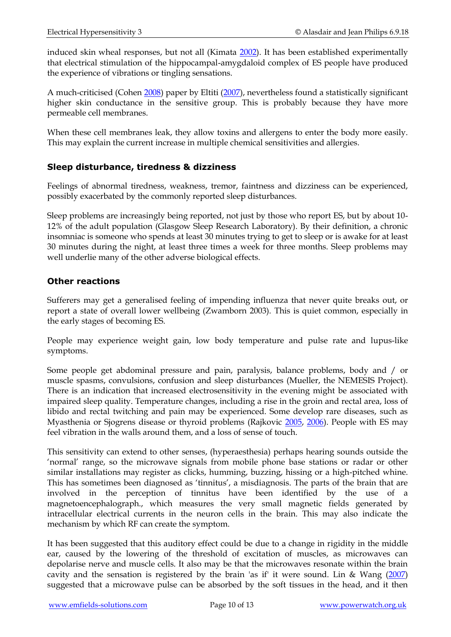induced skin wheal responses, but not all (Kimata [2002\)](http://www.ncbi.nlm.nih.gov/pubmed/12483040). It has been established experimentally that electrical stimulation of the hippocampal-amygdaloid complex of ES people have produced the experience of vibrations or tingling sensations.

A much-criticised (Cohen [2008\)](http://www.ncbi.nlm.nih.gov/pubmed/18288297) paper by Eltiti [\(2007\)](http://www.ncbi.nlm.nih.gov/pubmed/18007992), nevertheless found a statistically significant higher skin conductance in the sensitive group. This is probably because they have more permeable cell membranes.

When these cell membranes leak, they allow toxins and allergens to enter the body more easily. This may explain the current increase in multiple chemical sensitivities and allergies.

#### **Sleep disturbance, tiredness & dizziness**

Feelings of abnormal tiredness, weakness, tremor, faintness and dizziness can be experienced, possibly exacerbated by the commonly reported sleep disturbances.

Sleep problems are increasingly being reported, not just by those who report ES, but by about 10- 12% of the adult population (Glasgow Sleep Research Laboratory). By their definition, a chronic insomniac is someone who spends at least 30 minutes trying to get to sleep or is awake for at least 30 minutes during the night, at least three times a week for three months. Sleep problems may well underlie many of the other adverse biological effects.

#### **Other reactions**

Sufferers may get a generalised feeling of impending influenza that never quite breaks out, or report a state of overall lower wellbeing (Zwamborn 2003). This is quiet common, especially in the early stages of becoming ES.

People may experience weight gain, low body temperature and pulse rate and lupus-like symptoms.

Some people get abdominal pressure and pain, paralysis, balance problems, body and / or muscle spasms, convulsions, confusion and sleep disturbances (Mueller, the NEMESIS Project). There is an indication that increased electrosensitivity in the evening might be associated with impaired sleep quality. Temperature changes, including a rise in the groin and rectal area, loss of libido and rectal twitching and pain may be experienced. Some develop rare diseases, such as Myasthenia or Sjogrens disease or thyroid problems (Rajkovic [2005,](http://www.ncbi.nlm.nih.gov/pubmed/16307979) [2006\)](http://www.ncbi.nlm.nih.gov/pubmed/16916968). People with ES may feel vibration in the walls around them, and a loss of sense of touch.

This sensitivity can extend to other senses, (hyperaesthesia) perhaps hearing sounds outside the 'normal' range, so the microwave signals from mobile phone base stations or radar or other similar installations may register as clicks, humming, buzzing, hissing or a high-pitched whine. This has sometimes been diagnosed as 'tinnitus', a misdiagnosis. The parts of the brain that are involved in the perception of tinnitus have been identified by the use of a magnetoencephalograph., which measures the very small magnetic fields generated by intracellular electrical currents in the neuron cells in the brain. This may also indicate the mechanism by which RF can create the symptom.

It has been suggested that this auditory effect could be due to a change in rigidity in the middle ear, caused by the lowering of the threshold of excitation of muscles, as microwaves can depolarise nerve and muscle cells. It also may be that the microwaves resonate within the brain cavity and the sensation is registered by the brain 'as if' it were sound. Lin & Wang [\(2007\)](http://www.ncbi.nlm.nih.gov/sites/entrez?Db=pubmed&Cmd=ShowDetailView&TermToSearch=17495664&ordinalpos=1&itool=EntrezSystem2.PEntrez.Pubmed.Pubmed_ResultsPanel.Pubmed_RVDocSum) suggested that a microwave pulse can be absorbed by the soft tissues in the head, and it then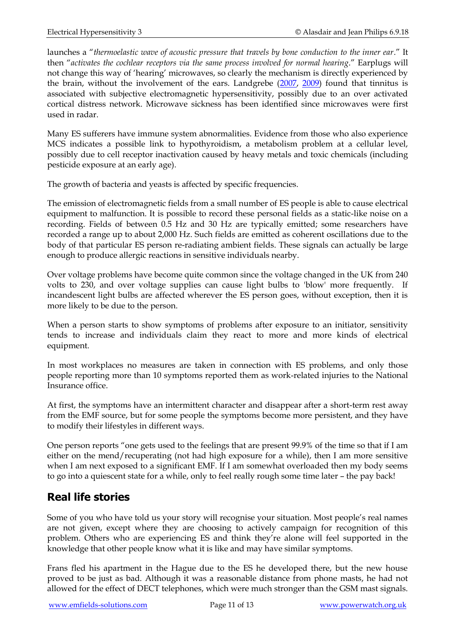launches a "*thermoelastic wave of acoustic pressure that travels by bone conduction to the inner ear*." It then "*activates the cochlear receptors via the same process involved for normal hearing*." Earplugs will not change this way of 'hearing' microwaves, so clearly the mechanism is directly experienced by the brain, without the involvement of the ears. Landgrebe [\(2007,](http://www.ncbi.nlm.nih.gov/pubmed/17324677) [2009\)](http://www.ncbi.nlm.nih.gov/pubmed/19325894) found that tinnitus is associated with subjective electromagnetic hypersensitivity, possibly due to an over activated cortical distress network. Microwave sickness has been identified since microwaves were first used in radar.

Many ES sufferers have immune system abnormalities. Evidence from those who also experience MCS indicates a possible link to hypothyroidism, a metabolism problem at a cellular level, possibly due to cell receptor inactivation caused by heavy metals and toxic chemicals (including pesticide exposure at an early age).

The growth of bacteria and yeasts is affected by specific frequencies.

The emission of electromagnetic fields from a small number of ES people is able to cause electrical equipment to malfunction. It is possible to record these personal fields as a static-like noise on a recording. Fields of between 0.5 Hz and 30 Hz are typically emitted; some researchers have recorded a range up to about 2,000 Hz. Such fields are emitted as coherent oscillations due to the body of that particular ES person re-radiating ambient fields. These signals can actually be large enough to produce allergic reactions in sensitive individuals nearby.

Over voltage problems have become quite common since the voltage changed in the UK from 240 volts to 230, and over voltage supplies can cause light bulbs to 'blow' more frequently. If incandescent light bulbs are affected wherever the ES person goes, without exception, then it is more likely to be due to the person.

When a person starts to show symptoms of problems after exposure to an initiator, sensitivity tends to increase and individuals claim they react to more and more kinds of electrical equipment.

In most workplaces no measures are taken in connection with ES problems, and only those people reporting more than 10 symptoms reported them as work-related injuries to the National Insurance office.

At first, the symptoms have an intermittent character and disappear after a short-term rest away from the EMF source, but for some people the symptoms become more persistent, and they have to modify their lifestyles in different ways.

One person reports "one gets used to the feelings that are present 99.9% of the time so that if I am either on the mend/recuperating (not had high exposure for a while), then I am more sensitive when I am next exposed to a significant EMF. If I am somewhat overloaded then my body seems to go into a quiescent state for a while, only to feel really rough some time later – the pay back!

## **Real life stories**

Some of you who have told us your story will recognise your situation. Most people's real names are not given, except where they are choosing to actively campaign for recognition of this problem. Others who are experiencing ES and think they're alone will feel supported in the knowledge that other people know what it is like and may have similar symptoms.

Frans fled his apartment in the Hague due to the ES he developed there, but the new house proved to be just as bad. Although it was a reasonable distance from phone masts, he had not allowed for the effect of DECT telephones, which were much stronger than the GSM mast signals.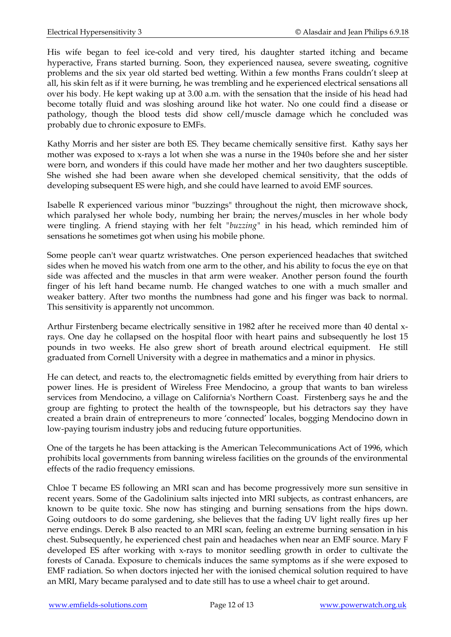His wife began to feel ice-cold and very tired, his daughter started itching and became hyperactive, Frans started burning. Soon, they experienced nausea, severe sweating, cognitive problems and the six year old started bed wetting. Within a few months Frans couldn't sleep at all, his skin felt as if it were burning, he was trembling and he experienced electrical sensations all over his body. He kept waking up at 3.00 a.m. with the sensation that the inside of his head had become totally fluid and was sloshing around like hot water. No one could find a disease or pathology, though the blood tests did show cell/muscle damage which he concluded was probably due to chronic exposure to EMFs.

Kathy Morris and her sister are both ES. They became chemically sensitive first. Kathy says her mother was exposed to x-rays a lot when she was a nurse in the 1940s before she and her sister were born, and wonders if this could have made her mother and her two daughters susceptible. She wished she had been aware when she developed chemical sensitivity, that the odds of developing subsequent ES were high, and she could have learned to avoid EMF sources.

Isabelle R experienced various minor "buzzings" throughout the night, then microwave shock, which paralysed her whole body, numbing her brain; the nerves/muscles in her whole body were tingling. A friend staying with her felt *"buzzing"* in his head, which reminded him of sensations he sometimes got when using his mobile phone.

Some people can't wear quartz wristwatches. One person experienced headaches that switched sides when he moved his watch from one arm to the other, and his ability to focus the eye on that side was affected and the muscles in that arm were weaker. Another person found the fourth finger of his left hand became numb. He changed watches to one with a much smaller and weaker battery. After two months the numbness had gone and his finger was back to normal. This sensitivity is apparently not uncommon.

Arthur Firstenberg became electrically sensitive in 1982 after he received more than 40 dental xrays. One day he collapsed on the hospital floor with heart pains and subsequently he lost 15 pounds in two weeks. He also grew short of breath around electrical equipment. He still graduated from Cornell University with a degree in mathematics and a minor in physics.

He can detect, and reacts to, the electromagnetic fields emitted by everything from hair driers to power lines. He is president of Wireless Free Mendocino, a group that wants to ban wireless services from Mendocino, a village on California's Northern Coast. Firstenberg says he and the group are fighting to protect the health of the townspeople, but his detractors say they have created a brain drain of entrepreneurs to more 'connected' locales, bogging Mendocino down in low-paying tourism industry jobs and reducing future opportunities.

One of the targets he has been attacking is the American Telecommunications Act of 1996, which prohibits local governments from banning wireless facilities on the grounds of the environmental effects of the radio frequency emissions.

Chloe T became ES following an MRI scan and has become progressively more sun sensitive in recent years. Some of the Gadolinium salts injected into MRI subjects, as contrast enhancers, are known to be quite toxic. She now has stinging and burning sensations from the hips down. Going outdoors to do some gardening, she believes that the fading UV light really fires up her nerve endings. Derek B also reacted to an MRI scan, feeling an extreme burning sensation in his chest. Subsequently, he experienced chest pain and headaches when near an EMF source. Mary F developed ES after working with x-rays to monitor seedling growth in order to cultivate the forests of Canada. Exposure to chemicals induces the same symptoms as if she were exposed to EMF radiation. So when doctors injected her with the ionised chemical solution required to have an MRI, Mary became paralysed and to date still has to use a wheel chair to get around.